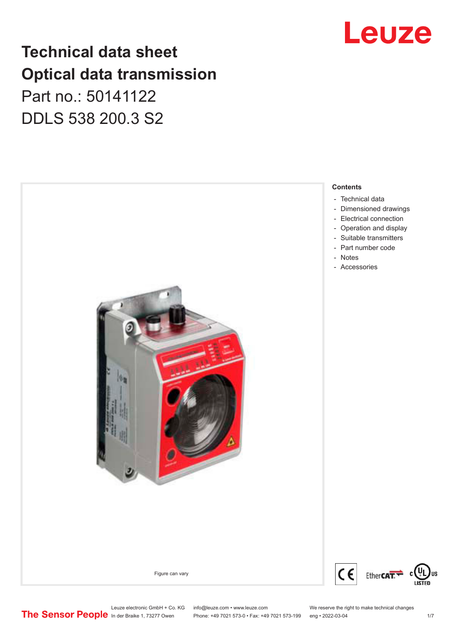## Leuze

### **Technical data sheet Optical data transmission**

Part no.: 50141122 DDLS 538 200.3 S2



Leuze electronic GmbH + Co. KG info@leuze.com • www.leuze.com We reserve the right to make technical changes<br>
The Sensor People in der Braike 1, 73277 Owen Phone: +49 7021 573-0 • Fax: +49 7021 573-199 eng • 2022-03-04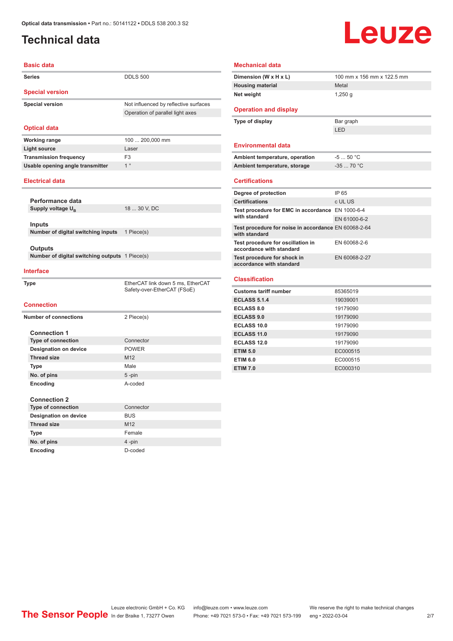### <span id="page-1-0"></span>**Technical data**

## **Leuze**

| <b>Basic data</b>                              |                                                                           |
|------------------------------------------------|---------------------------------------------------------------------------|
| <b>Series</b>                                  | <b>DDLS 500</b>                                                           |
| <b>Special version</b>                         |                                                                           |
| <b>Special version</b>                         | Not influenced by reflective surfaces<br>Operation of parallel light axes |
| <b>Optical data</b>                            |                                                                           |
| <b>Working range</b>                           | 100  200,000 mm                                                           |
| <b>Light source</b>                            | Laser                                                                     |
| <b>Transmission frequency</b>                  | F <sub>3</sub>                                                            |
| Usable opening angle transmitter               | 1 <sup>°</sup>                                                            |
| <b>Electrical data</b>                         |                                                                           |
| Performance data                               |                                                                           |
| Supply voltage U <sub>R</sub>                  | 18  30 V, DC                                                              |
|                                                |                                                                           |
| Inputs                                         |                                                                           |
| Number of digital switching inputs             | 1 Piece(s)                                                                |
|                                                |                                                                           |
| Outputs                                        |                                                                           |
| Number of digital switching outputs 1 Piece(s) |                                                                           |
| <b>Interface</b>                               |                                                                           |
| <b>Type</b>                                    | EtherCAT link down 5 ms, EtherCAT<br>Safety-over-EtherCAT (FSoE)          |
| <b>Connection</b>                              |                                                                           |
| <b>Number of connections</b>                   | 2 Piece(s)                                                                |
|                                                |                                                                           |
| <b>Connection 1</b>                            |                                                                           |
| <b>Type of connection</b>                      | Connector                                                                 |
| <b>Designation on device</b>                   | <b>POWER</b>                                                              |
| <b>Thread size</b>                             | M <sub>12</sub>                                                           |
| Type                                           | Male                                                                      |
| No. of pins                                    | $5 - pin$                                                                 |
| Encoding                                       | A-coded                                                                   |
|                                                |                                                                           |
| <b>Connection 2</b>                            |                                                                           |
| <b>Type of connection</b>                      | Connector                                                                 |
| <b>Designation on device</b>                   | <b>BUS</b>                                                                |
| <b>Thread size</b>                             | M <sub>12</sub>                                                           |

**No. of pins** 4 -pin **Encoding** D-coded

| Dimension (W x H x L)                                                 | 100 mm x 156 mm x 122.5 mm |
|-----------------------------------------------------------------------|----------------------------|
| <b>Housing material</b>                                               | Metal                      |
| Net weight                                                            | $1,250$ g                  |
| <b>Operation and display</b>                                          |                            |
| Type of display                                                       | Bar graph                  |
|                                                                       | LED                        |
| <b>Environmental data</b>                                             |                            |
| Ambient temperature, operation                                        | $-550 °C$                  |
| Ambient temperature, storage                                          | $-3570 °C$                 |
| <b>Certifications</b>                                                 |                            |
| Degree of protection                                                  | IP 65                      |
| <b>Certifications</b>                                                 | c UL US                    |
| Test procedure for EMC in accordance EN 1000-6-4                      |                            |
| with standard                                                         | EN 61000-6-2               |
| Test procedure for noise in accordance EN 60068-2-64<br>with standard |                            |
| Test procedure for oscillation in<br>accordance with standard         | EN 60068-2-6               |
| Test procedure for shock in<br>accordance with standard               | EN 60068-2-27              |
| <b>Classification</b>                                                 |                            |
| <b>Customs tariff number</b>                                          | 85365019                   |
| <b>ECLASS 5.1.4</b>                                                   | 19039001                   |
| ECLASS 8.0                                                            | 19179090                   |
| <b>ECLASS 9.0</b>                                                     | 19179090                   |
| ECLASS 10.0                                                           | 19179090                   |
| <b>ECLASS 11.0</b>                                                    | 19179090                   |
| <b>ECLASS 12.0</b>                                                    | 19179090                   |
| <b>ETIM 5.0</b>                                                       | EC000515                   |
| <b>ETIM 6.0</b>                                                       | EC000515                   |
| <b>ETIM 7.0</b>                                                       | EC000310                   |

Leuze electronic GmbH + Co. KG info@leuze.com • www.leuze.com We reserve the right to make technical changes<br>
The Sensor People in der Braike 1, 73277 Owen Phone: +49 7021 573-0 • Fax: +49 7021 573-199 eng • 2022-03-04 Phone: +49 7021 573-0 • Fax: +49 7021 573-199 eng • 2022-03-04 2 7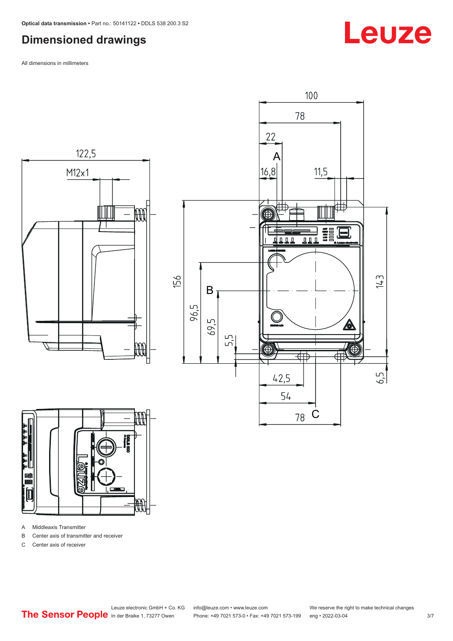#### <span id="page-2-0"></span>**Dimensioned drawings**

All dimensions in millimeters







A Middleaxis Transmitter

B Center axis of transmitter and receiver

C Center axis of receiver

Leuze electronic GmbH + Co. KG info@leuze.com • www.leuze.com We reserve the right to make technical changes



## **Leuze**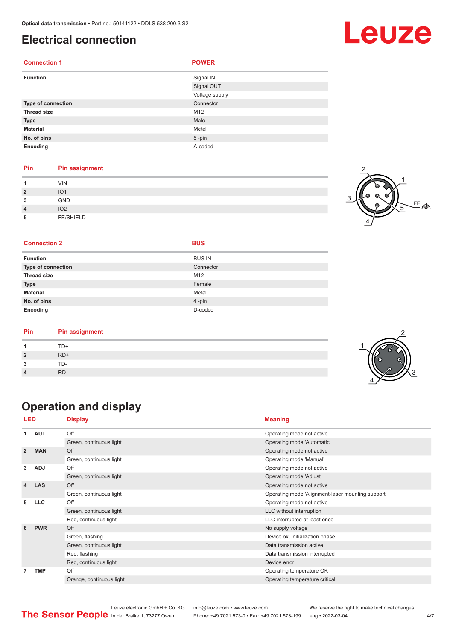#### <span id="page-3-0"></span>**Electrical connection**

| <b>Connection 1</b> | <b>POWER</b>   |
|---------------------|----------------|
| <b>Function</b>     | Signal IN      |
|                     | Signal OUT     |
|                     | Voltage supply |
| Type of connection  | Connector      |
| <b>Thread size</b>  | M12            |
| <b>Type</b>         | Male           |
| <b>Material</b>     | Metal          |
| No. of pins         | $5 - pin$      |
| Encoding            | A-coded        |

#### **Pin Pin assignment**

| и                            | <b>VIN</b>             |  |
|------------------------------|------------------------|--|
| $\overline{\mathbf{2}}$<br>3 | IO <sub>1</sub><br>GND |  |
| $\overline{4}$               | IO <sub>2</sub>        |  |
| 5                            | FE/SHIELD              |  |



2

3

#### **Connection 2 BUS**

|  |  | × |
|--|--|---|
|  |  |   |

| <b>Function</b>           | <b>BUS IN</b> |
|---------------------------|---------------|
| <b>Type of connection</b> | Connector     |
| <b>Thread size</b>        | M12           |
| <b>Type</b>               | Female        |
| <b>Material</b>           | Metal         |
| No. of pins               | 4-pin         |
| Encoding                  | D-coded       |

| Pin | <b>Pin assignment</b> |  |
|-----|-----------------------|--|
|     | TD+                   |  |
|     | $RD+$                 |  |
|     | TD-                   |  |
|     | RD-                   |  |
|     |                       |  |

### **Operation and display**

| LED            |            | <b>Display</b>           | <b>Meaning</b>                                    |
|----------------|------------|--------------------------|---------------------------------------------------|
| 1              | <b>AUT</b> | Off                      | Operating mode not active                         |
|                |            | Green, continuous light  | Operating mode 'Automatic'                        |
| $\overline{2}$ | <b>MAN</b> | Off                      | Operating mode not active                         |
|                |            | Green, continuous light  | Operating mode 'Manual'                           |
| 3              | <b>ADJ</b> | Off                      | Operating mode not active                         |
|                |            | Green, continuous light  | Operating mode 'Adjust'                           |
| 4              | <b>LAS</b> | Off                      | Operating mode not active                         |
|                |            | Green, continuous light  | Operating mode 'Alignment-laser mounting support' |
| 5              | <b>LLC</b> | Off                      | Operating mode not active                         |
|                |            | Green, continuous light  | LLC without interruption                          |
|                |            | Red, continuous light    | LLC interrupted at least once                     |
| 6              | <b>PWR</b> | Off                      | No supply voltage                                 |
|                |            | Green, flashing          | Device ok, initialization phase                   |
|                |            | Green, continuous light  | Data transmission active                          |
|                |            | Red, flashing            | Data transmission interrupted                     |
|                |            | Red, continuous light    | Device error                                      |
| $\overline{7}$ | <b>TMP</b> | Off                      | Operating temperature OK                          |
|                |            | Orange, continuous light | Operating temperature critical                    |

Leuze electronic GmbH + Co. KG info@leuze.com • www.leuze.com We reserve the right to make technical changes<br>
The Sensor People in der Braike 1, 73277 Owen Phone: +49 7021 573-0 • Fax: +49 7021 573-199 eng • 2022-03-04 Phone: +49 7021 573-0 • Fax: +49 7021 573-199 eng • 2022-03-04 **4/7**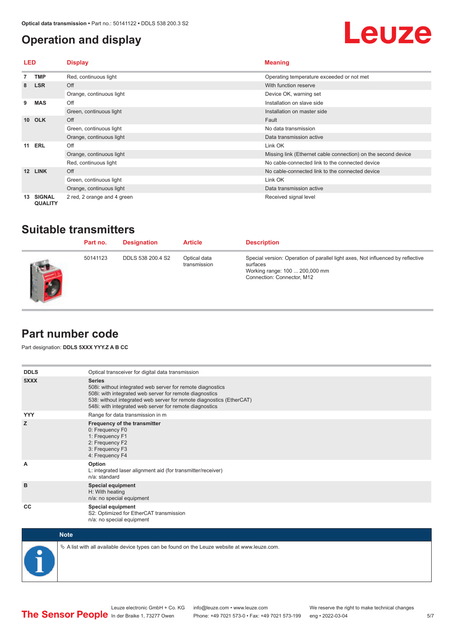### <span id="page-4-0"></span>**Operation and display**

## Leuze

| <b>LED</b>      |                                 | <b>Display</b>              | <b>Meaning</b>                                                |
|-----------------|---------------------------------|-----------------------------|---------------------------------------------------------------|
|                 | <b>TMP</b>                      | Red, continuous light       | Operating temperature exceeded or not met                     |
| 8               | <b>LSR</b>                      | Off                         | With function reserve                                         |
|                 |                                 | Orange, continuous light    | Device OK, warning set                                        |
| 9               | <b>MAS</b>                      | Off                         | Installation on slave side                                    |
|                 |                                 | Green, continuous light     | Installation on master side                                   |
| 10 <sup>1</sup> | <b>OLK</b>                      | Off                         | Fault                                                         |
|                 |                                 | Green, continuous light     | No data transmission                                          |
|                 |                                 | Orange, continuous light    | Data transmission active                                      |
| 11              | <b>ERL</b>                      | Off                         | Link OK                                                       |
|                 |                                 | Orange, continuous light    | Missing link (Ethernet cable connection) on the second device |
|                 |                                 | Red, continuous light       | No cable-connected link to the connected device               |
| 12              | <b>LINK</b>                     | Off                         | No cable-connected link to the connected device               |
|                 |                                 | Green, continuous light     | Link OK                                                       |
|                 |                                 | Orange, continuous light    | Data transmission active                                      |
| 13              | <b>SIGNAL</b><br><b>QUALITY</b> | 2 red, 2 orange and 4 green | Received signal level                                         |

### **Suitable transmitters**

| Part no. | <b>Designation</b> | <b>Article</b>               | <b>Description</b>                                                                                                                                          |
|----------|--------------------|------------------------------|-------------------------------------------------------------------------------------------------------------------------------------------------------------|
| 50141123 | DDLS 538 200.4 S2  | Optical data<br>transmission | Special version: Operation of parallel light axes, Not influenced by reflective<br>surfaces<br>Working range: 100  200,000 mm<br>Connection: Connector, M12 |

#### **Part number code**

Part designation: **DDLS 5XXX YYY.Z A B CC**

| <b>DDLS</b> | Optical transceiver for digital data transmission                                                                                                                                                                                                                         |
|-------------|---------------------------------------------------------------------------------------------------------------------------------------------------------------------------------------------------------------------------------------------------------------------------|
| 5XXX        | <b>Series</b><br>508i: without integrated web server for remote diagnostics<br>508i: with integrated web server for remote diagnostics<br>538: without integrated web server for remote diagnostics (EtherCAT)<br>548i: with integrated web server for remote diagnostics |
| <b>YYY</b>  | Range for data transmission in m                                                                                                                                                                                                                                          |
| z           | Frequency of the transmitter<br>0: Frequency F0<br>1: Frequency F1<br>2: Frequency F2<br>3: Frequency F3<br>4: Frequency F4                                                                                                                                               |
| A           | Option<br>L: integrated laser alignment aid (for transmitter/receiver)<br>n/a: standard                                                                                                                                                                                   |
| B           | <b>Special equipment</b><br>H: With heating<br>n/a: no special equipment                                                                                                                                                                                                  |
| CC          | Special equipment<br>S2: Optimized for EtherCAT transmission<br>n/a: no special equipment                                                                                                                                                                                 |



 $\&$  A list with all available device types can be found on the Leuze website at www.leuze.com.

5/7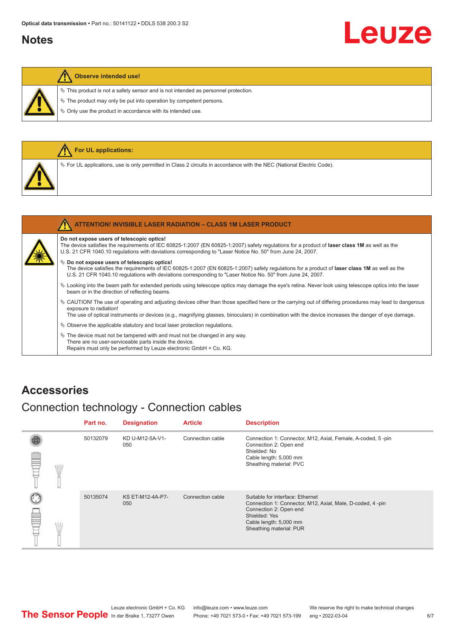#### <span id="page-5-0"></span>**Notes**

# Leuze

#### **Observe intended use!**

 $\%$  This product is not a safety sensor and is not intended as personnel protection.

 $\&$  The product may only be put into operation by competent persons.

 $\%$  Only use the product in accordance with its intended use.

|  | <b>For UL applications:</b>                                                                                           |
|--|-----------------------------------------------------------------------------------------------------------------------|
|  | V For UL applications, use is only permitted in Class 2 circuits in accordance with the NEC (National Electric Code). |
|  |                                                                                                                       |
|  | <b>ATTENTION! INVISIBLE LASER RADIATION - CLASS 1M LASER PRODUCT</b>                                                  |

#### **Do not expose users of telescopic optics!**

The device satisfies the requirements of IEC 60825-1:2007 (EN 60825-1:2007) safety regulations for a product of **laser class 1M** as well as the U.S. 21 CFR 1040.10 regulations with deviations corresponding to "Laser Notice No. 50" from June 24, 2007.

#### $\%$  Do not expose users of telescopic optics!

The device satisfies the requirements of IEC 60825-1:2007 (EN 60825-1:2007) safety regulations for a product of **laser class 1M** as well as the U.S. 21 CFR 1040.10 regulations with deviations corresponding to "Laser Notice No. 50" from June 24, 2007.

- ª Looking into the beam path for extended periods using telescope optics may damage the eye's retina. Never look using telescope optics into the laser beam or in the direction of reflecting beams.
- ª CAUTION! The use of operating and adjusting devices other than those specified here or the carrying out of differing procedures may lead to dangerous exposure to radiation!

The use of optical instruments or devices (e.g., magnifying glasses, binoculars) in combination with the device increases the danger of eye damage.

 $\&$  Observe the applicable statutory and local laser protection regulations.

 $\%$  The device must not be tampered with and must not be changed in any way. There are no user-serviceable parts inside the device. Repairs must only be performed by Leuze electronic GmbH + Co. KG.

#### **Accessories**

#### Connection technology - Connection cables

|   |    | Part no. | <b>Designation</b>      | <b>Article</b>   | <b>Description</b>                                                                                                                                                                            |
|---|----|----------|-------------------------|------------------|-----------------------------------------------------------------------------------------------------------------------------------------------------------------------------------------------|
| ≝ | WL | 50132079 | KD U-M12-5A-V1-<br>050  | Connection cable | Connection 1: Connector, M12, Axial, Female, A-coded, 5-pin<br>Connection 2: Open end<br>Shielded: No<br>Cable length: 5,000 mm<br>Sheathing material: PVC                                    |
|   |    | 50135074 | KS ET-M12-4A-P7-<br>050 | Connection cable | Suitable for interface: Ethernet<br>Connection 1: Connector, M12, Axial, Male, D-coded, 4-pin<br>Connection 2: Open end<br>Shielded: Yes<br>Cable length: 5,000 mm<br>Sheathing material: PUR |